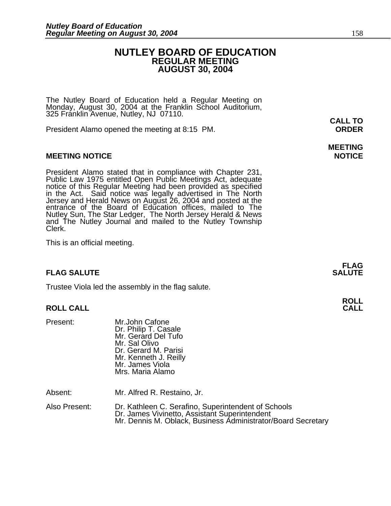### **NUTLEY BOARD OF EDUCATION REGULAR MEETING AUGUST 30, 2004**

The Nutley Board of Education held a Regular Meeting on Monday, August 30, 2004 at the Franklin School Auditorium, 325 Franklin Avenue, Nutley, NJ 07110.

President Alamo opened the meeting at 8:15 PM. **ORDER**

#### **MEETING NOTICE NOTICE REPORTS AND ALCOHOL**

President Alamo stated that in compliance with Chapter 231, Public Law 1975 entitled Open Public Meetings Act, adequate notice of this Regular Meeting had been provided as specified in the Act. Said notice was legally adve entrance of the Board of Education offices, mailed to The Nutley Sun, The Star Ledger, The North Jersey Herald & News and The Nutley Journal and mailed to the Nutley Township<br>Clerk.

This is an official meeting.

#### **FLAG SALUTE SALUTE SALUTE**

Trustee Viola led the assembly in the flag salute.

#### **ROLL CALL CALL**

Present: Mr.John Cafone Dr. Philip T. Casale Mr. Gerard Del Tufo Mr. Sal Olivo Dr. Gerard M. Parisi Mr. Kenneth J. Reilly<br>Mr. James Viola Mrs. Maria Alamo

Absent: Mr. Alfred R. Restaino, Jr.

| Also Present: | Dr. Kathleen C. Serafino, Superintendent of Schools          |
|---------------|--------------------------------------------------------------|
|               | Dr. James Vivinetto, Assistant Superintendent                |
|               | Mr. Dennis M. Oblack, Business Administrator/Board Secretary |

## **MEETING**

**FLAG** 

## **ROLL**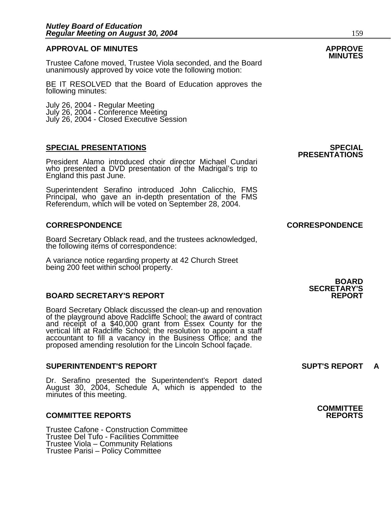### **APPROVAL OF MINUTES APPROVE**

Trustee Cafone moved, Trustee Viola seconded, and the Board unanimously approved by voice vote the following motion:

BE IT RESOLVED that the Board of Education approves the following minutes:

 July 26, 2004 - Regular Meeting July 26, 2004 - Conference Meeting July 26, 2004 - Closed Executive Session

#### **SPECIAL PRESENTATIONS SPECIAL**

President Alamo introduced choir director Michael Cundari who presented a DVD presentation of the Madrigal's trip to England this past June.

Superintendent Serafino introduced John Calicchio, FMS Principal, who gave an in-depth presentation of the FMS Referendum, which will be voted on September 28, 2004.

#### **CORRESPONDENCE CORRESPONDENCE**

Board Secretary Oblack read, and the trustees acknowledged, the following items of correspondence:

A variance notice regarding property at 42 Church Street being 200 feet within school property.

#### **BOARD SECRETARY'S REPORT**

Board Secretary Oblack discussed the clean-up and renovation of the playground above Radcliffe School; the award of contract<br>and receipt of a \$40,000 grant from Essex County for the<br>vertical lift at Radcliffe School; the resolution to appoint a staff<br>accountant to fill a vacancy in proposed amending resolution for the Lincoln School façade.

#### **SUPERINTENDENT'S REPORT SUPT'S REPORT A**

Dr. Serafino presented the Superintendent's Report dated August 30, 2004, Schedule A, which is appended to the minutes of this meeting.

#### **COMMITTEE REPORTS REPORTS**

Trustee Cafone - Construction Committee Trustee Del Tufo - Facilities Committee Trustee Viola – Community Relations Trustee Parisi – Policy Committee

**PRESENTATIONS** 

### **BOARD SECRETARY'S**

**COMMITTEE**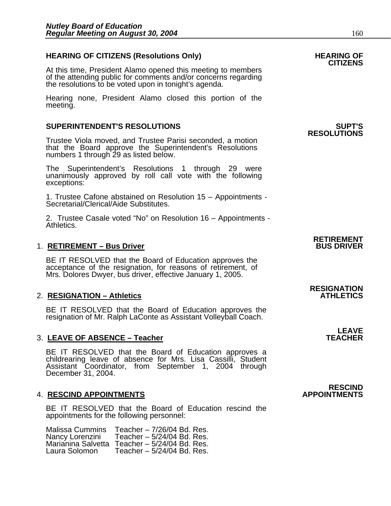### HEARING OF CITIZENS (Resolutions Only) HEARING OF<br>CITIZENS

At this time, President Alamo opened this meeting to members of the attending public for comments and/or concerns regarding the resolutions to be voted upon in tonight's agenda.

Hearing none, President Alamo closed this portion of the meeting.

#### **SUPERINTENDENT'S RESOLUTIONS SUPT'S**

Trustee Viola moved, and Trustee Parisi seconded, a motion that the Board approve the Superintendent's Resolutions numbers 1 through 29 as listed below.

The Superintendent's Resolutions 1 through 29 were unanimously approved by roll call vote withັthe following<br>exceptions:

1. Trustee Cafone abstained on Resolution 15 – Appointments -<br>Secretarial/Clerical/Aide Substitutes.

2. Trustee Casale voted "No" on Resolution 16 – Appointments -<br>Athletics.

#### 1. **RETIREMENT – Bus Driver**

BE IT RESOLVED that the Board of Education approves the acceptance of the resignation, for reasons of retirement, of Mrs. Dolores Dwyer, bus driver, effective January 1, 2005.

#### **2. RESIGNATION – Athletics**

BE IT RESOLVED that the Board of Education approves the resignation of Mr. Ralph LaConte as Assistant Volleyball Coach.

#### 3. LEAVE OF ABSENCE - Teacher

BE IT RESOLVED that the Board of Education approves a childrearing leave of absence for Mrs. Lisa Cassilli, Student Assistant Coordinator, from September 1, 2004 through December 31, 2004.

#### **4. RESCIND APPOINTMENTS**

BE IT RESOLVED that the Board of Education rescind the appointments for the following personnel:

Malissa Cummins Teacher – 7/26/04 Bd. Res. Teacher –  $5/24/04$  Bd. Res. Marianina Salvetta Teacher – 5/24/04 Bd. Res.<br>Laura Solomon Teacher – 5/24/04 Bd. Res. Teacher –  $5/24/04$  Bd. Res.

### **RESOLUTIONS**

### **RETIREMENT**

**RESIGNATION** 

## **LEAVE**<br>TEACHER

**RESCIND<br>APPOINTMENTS**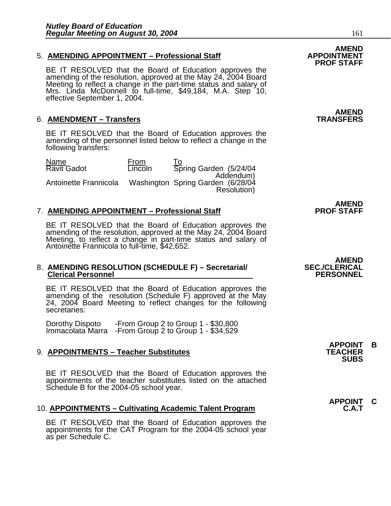#### 5. **AMENDING APPOINTMENT - Professional Staff**

BE IT RESOLVED that the Board of Education approves the amending of the resolution, approved at the May 24, 2004 Board Meeting to reflect a change in the part-time status and salary of Mrs. Linda McDonnell to full-time, \$49,184, M.A. Step 10, effective September 1, 2004.

#### 6. **AMENDMENT – Transfers**

BE IT RESOLVED that the Board of Education approves the amending of the personnel listed below to reflect a change in the following transfers:

| Name                  | From           | To.                                            |
|-----------------------|----------------|------------------------------------------------|
| <b>Ravit Gadot</b>    | <b>Lincoln</b> | Spring Garden (5/24/04                         |
| Antoinette Frannicola |                | Addendum)<br>Washington Spring Garden (6/28/04 |
|                       |                | Resolution)                                    |

#### 7. **AMENDING APPOINTMENT - Professional Staff**

BE IT RESOLVED that the Board of Education approves the amending of the resolution, approved at the May 24, 2004 Board Meeting, to reflect a change in part-time status and salary of Antoinette Frannicola to full-time, \$42,652.

### 8. **AMENDING RESOLUTION (SCHEDULE F) – Secretarial/ SEC./CLERICAL Clerical Personnel PERSONNEL**

BE IT RESOLVED that the Board of Education approves the amending of the resolution (Schedule F) approved at the May 24, 2004 Board Meeting to reflect changes for the following secretaries:

Dorothy Dispoto -From Group 2 to Group 1 - \$30,800 Immacolata Marra -From Group 2 to Group 1 - \$34,529

#### 9. **APPOINTMENTS – Teacher Substitutes**

BE IT RESOLVED that the Board of Education approves the appointments of the teacher substitutes listed on the attached Schedule B for the 2004-05 school year.

#### 10. **APPOINTMENTS – Cultivating Academic Talent Program**

BE IT RESOLVED that the Board of Education approves the appointments for the CAT Program for the 2004-05 school year as per Schedule C.

### AMEND<br>APPOINTMENT **PROF STAFF**

**AMEND<br>TRANSFERS** 

**AMEND**<br>PROF STAFF

# AMEND<br>**SEC./CLERICAL**

**APPOINT B SUBS**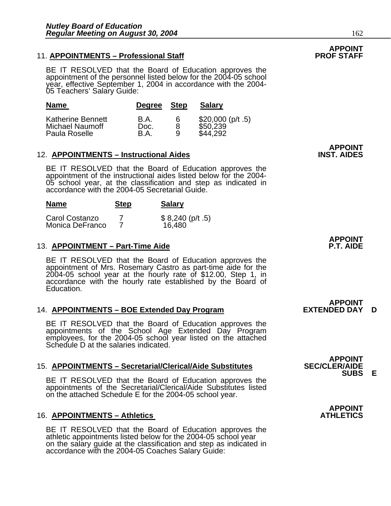#### 11. **APPOINTMENTS - Professional Staff**

BE IT RESOLVED that the Board of Education approves the appointment of the personnel listed below for the 2004-05 school year, effective September 1, 2004 in accordance with the 2004- 05 Teachers' Salary Guide:

| <b>Name</b>              | Degree Step |   | <b>Salary</b>      |
|--------------------------|-------------|---|--------------------|
| <b>Katherine Bennett</b> | <b>B.A.</b> | 6 | $$20,000$ (p/t .5) |
| Michael Naumoff          | Doc.        | 8 | \$50,239           |
| Paula Roselle            | B.A         | Q | \$44,292           |

#### 12. **APPOINTMENTS – Instructional Aides**

**Name** Step Salary

BE IT RESOLVED that the Board of Education approves the appointment of the instructional aides listed below for the 2004- 05 school year, at the classification and step as indicated in accordance with the 2004-05 Secretarial Guide.

|                                   | - - - - | _ _ _ _                   |
|-----------------------------------|---------|---------------------------|
| Carol Costanzo<br>Monica DeFranco |         | \$8,240 (p/t.5)<br>16,480 |

#### 13. **APPOINTMENT – Part-Time Aide**

BE IT RESOLVED that the Board of Education approves the appointment of Mrs. Rosemary Castro as part-time aide for the 2004-05 school year at the hourly rate of \$12.00, Step 1, in accordance with the hourly rate established by the Board of Education.

#### 14. **APPOINTMENTS – BOE Extended Day Program EXTENDED DAY D**

BE IT RESOLVED that the Board of Education approves the appointments of the School Age Extended Day Program employees, for the 2004-05 school year listed on the attached Schedule D at the salaries indicated.

#### **15. APPOINTMENTS – Secretarial/Clerical/Aide Substitutes**

BE IT RESOLVED that the Board of Education approves the appointments of the Secretarial/Clerical/Aide Substitutes listed on the attached Schedule E for the 2004-05 school year.

#### **16. APPOINTMENTS – Athletics**

BE IT RESOLVED that the Board of Education approves the athletic appointments listed below for the 2004-05 school year on the salary guide at the classification and step as indicated in accordance with the 2004-05 Coaches Salary Guide:

**APPOINT<br>INST. AIDES** 

**APPOINT** 

**APPOINT<br>EXTENDED DAY** 

**APPOINT<br>SEC/CLER/AIDE SUBS E** 

**APPOINT**

## **APPOINT**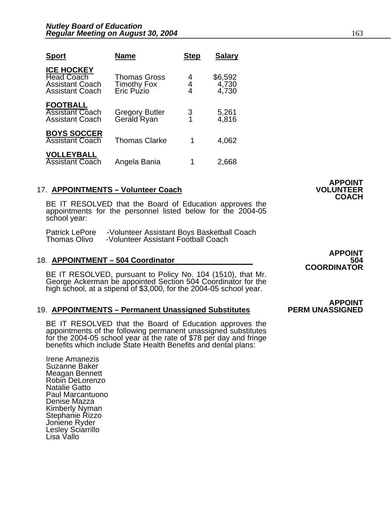| <b>Sport</b>                                                                               | <b>Name</b>                                             | <b>Step</b> | <b>Salary</b>             |
|--------------------------------------------------------------------------------------------|---------------------------------------------------------|-------------|---------------------------|
| <b>ICE HOCKEY</b><br><b>Head Coach</b><br><b>Assistant Coach</b><br><b>Assistant Coach</b> | <b>Thomas Gross</b><br><b>Timothy Fox</b><br>Eric Puzio | 4<br>4<br>4 | \$6,592<br>4,730<br>4,730 |
| <b>FOOTBALL</b><br><b>Assistant Coach</b><br><b>Assistant Coach</b>                        | Gregory Butler<br>Gerald Ryan                           | 3<br>1      | 5,261<br>4,816            |
| <b>BOYS SOCCER</b><br><b>Assistant Coach</b>                                               | <b>Thomas Clarke</b>                                    | 1           | 4,062                     |
| <b>VOLLEYBALL</b><br><b>Assistant Coach</b>                                                | Angela Bania                                            |             | 2,668                     |

#### 17. **APPOINTMENTS - Volunteer Coach**

BE IT RESOLVED that the Board of Education approves the appointments for the personnel listed below for the 2004-05 school year:

Patrick LePore -Volunteer Assistant Boys Basketball Coach Thomas Olivo -Volunteer Assistant Football Coach

#### 18. **APPOINTMENT - 504 Coordinator**

BE IT RESOLVED, pursuant to Policy No. 104 (1510), that Mr. George Ackerman be appointed Section 504 Coordinator for the high school, at a stipend of \$3,000, for the 2004-05 school year.

#### 19. **APPOINTMENTS – Permanent Unassigned Substitutes**

BE IT RESOLVED that the Board of Education approves the appointments of the following permanent unassigned substitutes for the 2004-05 school year at the rate of \$78 per day and fringe benefits which include State Health Benefits and dental plans:

Irene Amanezis Suzanne Baker Meagan Bennett Robin DeLorenzo Natalie Gatto Paul Marcantuono Denise Mazza Kimberly Nyman Stephanie Rizzo Joniene Ryder Lesley Sciarrillo Lisa Vallo

**APPOINT COORDINATOR** 

**APPOINT** 

**COACH** 

**APPOINT<br>PERM UNASSIGNED**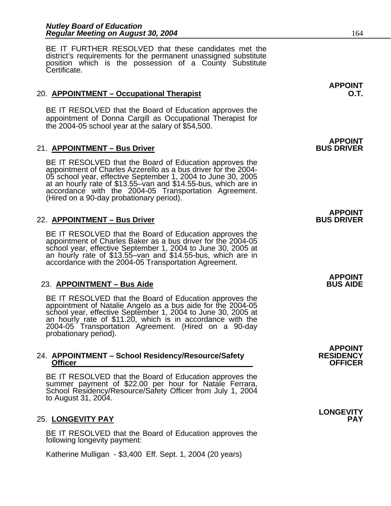BE IT FURTHER RESOLVED that these candidates met the district's requirements for the permanent unassigned substitute position which is the possession of a County Substitute Certificate.

#### 20. **APPOINTMENT – Occupational Therapist O.T.**

BE IT RESOLVED that the Board of Education approves the appointment of Donna Cargill as Occupational Therapist for the 2004-05 school year at the salary of \$54,500.

#### 21. **APPOINTMENT – Bus Driver**

BE IT RESOLVED that the Board of Education approves the appointment of Charles Azzerello as a bus driver for the 2004-<br>05 school year, effective September 1, 2004 to June 30, 2005 at an hourly rate of \$13.55–van and  $$14.55$ -bus, which are in accordance with the 2004-05 Transportation Agreement. (Hired on a 90-day probationary period).

#### 22. **APPOINTMENT – Bus Driver BUS DRIVER**

BE IT RESOLVED that the Board of Education approves the appointment of Charles Baker as a bus driver for the 2004-05 school year, effective September 1, 2004 to June 30, 2005 at an hourly rate of  $$13.55$ -van and  $$14.55$ -bus, which are in accordance with the 2004-05 Transportation Agreement.

#### 23. APPOINTMENT – Bus Aide **BUS AIDE**

BE IT RESOLVED that the Board of Education approves the appointment of Natalie Angelo as a bus aide for the 2004-05 school year, effective September 1, 2004 to June 30, 2005 at an hourly rate of \$11.20, which is in accordance with the 2004-05 Transportation Agreement. (Hired on a 90-day probationary period). İ

#### 24. **APPOINTMENT – School Residency/Resource/Safety RESIDENCY Officer Contract Contract Contract Contract Contract Contract Contract Contract Contract Contract Contract Contract Contract Contract Contract Contract Contract Contract Contract Contract Contract Contract Contract Contra**

BE IT RESOLVED that the Board of Education approves the<br>summer payment of \$22.00 per hour for Natale Ferrara, School Residency/Resource/Safety Officer from July 1, 2004<br>to August 31, 2004.

#### 25. LONGEVITY PAY

BE IT RESOLVED that the Board of Education approves the following longevity payment:

Katherine Mulligan - \$3,400 Eff. Sept. 1, 2004 (20 years)

**APPOINT** 

## **APPOINT**

### **APPOINT**

**APPOINT** 

**APPOINT** 

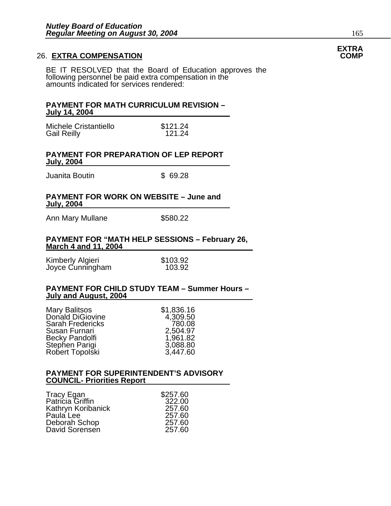#### **26. EXTRA COMPENSATION**

BE IT RESOLVED that the Board of Education approves the following personnel be paid extra compensation in the amounts indicated for services rendered:

#### **PAYMENT FOR MATH CURRICULUM REVISION – July 14, 2004**

Michele Cristantiello **\$121.24**<br>Gail Reilly 61.24 Gail Reilly

#### **PAYMENT FOR PREPARATION OF LEP REPORT July, 2004**

Juanita Boutin **\$ 69.28** 

#### **PAYMENT FOR WORK ON WEBSITE – June and July, 2004**

Ann Mary Mullane  $$580.22$ 

#### **PAYMENT FOR "MATH HELP SESSIONS – February 26, March 4 and 11, 2004**

| Kimberly Algieri | \$103.92 |
|------------------|----------|
| Joyce Cunningham | 103.92   |

#### **PAYMENT FOR CHILD STUDY TEAM – Summer Hours – July and August, 2004**

| Mary Balitsos           | \$1,836.16 |
|-------------------------|------------|
| Donald DiGiovine        | 4,309.50   |
| <b>Sarah Fredericks</b> | 780.08     |
| Susan Furnari           | 2,504.97   |
| Becky Pandolfi          | 1,961.82   |
| Stephen Parigi          | 3,088.80   |
| Robert Topolski         | 3,447.60   |

#### **PAYMENT FOR SUPERINTENDENT'S ADVISORY COUNCIL- Priorities Report**

| <b>Tracy Egan</b>  | \$257.60 |
|--------------------|----------|
| Patricia Griffin   | 322.00   |
| Kathryn Koribanick | 257.60   |
| Paula Lee          | 257.60   |
| Deborah Schop      | 257.60   |
| David Sorensen     | 257.60   |

## **EXTRA**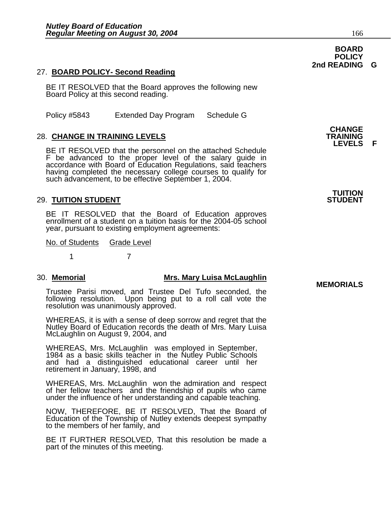#### 27. **BOARD POLICY- Second Reading**

BE IT RESOLVED that the Board approves the following new Board Policy at this second reading.

Policy #5843 Extended Day Program Schedule G

#### **28. CHANGE IN TRAINING LEVELS**

BE IT RESOLVED that the personnel on the attached Schedule F be advanced to the proper level of the salary guide in<br>accordance with Board of Education Regulations, said teachers<br>having completed the necessary college courses to qualify for<br>such advancement, to be effective Septemb

#### **29. TUITION STUDENT**

BE IT RESOLVED that the Board of Education approves enrollment of a student on a tuition basis for the 2004-05 school year, pursuant to existing employment agreements:

No. of Students Grade Level

1 7

### 30. **Memorial Mrs. Mary Luisa McLaughlin MEMORIALS**

Trustee Parisi moved, and Trustee Del Tufo seconded, the following resolution. Upon being put to a roll call vote the resolution was unanimously approved.

WHEREAS, it is with a sense of deep sorrow and regret that the Nutley Board of Education records the death of Mrs. Mary Luisa McLaughlin on August 9, 2004, and

WHEREAS, Mrs. McLaughlin was employed in September, 1984 as a basic skills teacher in the Nutley Public Schools and had a distinguished educational career until her retirement in January, 1998, and

WHEREAS, Mrs. McLaughlin won the admiration and respect of her fellow teachers and the friendship of pupils who came under the influence of her understanding and capable teaching.

NOW, THEREFORE, BE IT RESOLVED, That the Board of Education of the Township of Nutley extends deepest sympathy to the members of her family, and

BE IT FURTHER RESOLVED, That this resolution be made a part of the minutes of this meeting.

**LEVELS F** 

**TUITION** 

#### **BOARD POLICY 2nd READING G**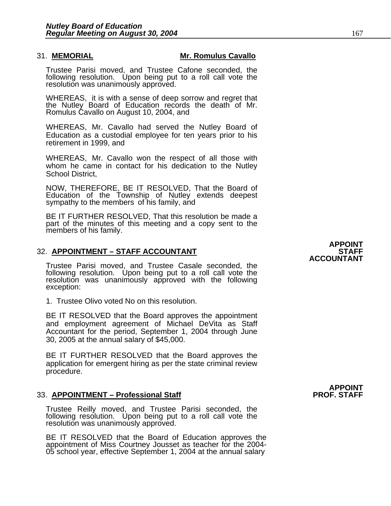#### 31. **MEMORIAL Mr. Romulus Cavallo**

Trustee Parisi moved, and Trustee Cafone seconded, the following resolution. Upon being put to a roll call vote the resolution was unanimously approved.

WHEREAS, it is with a sense of deep sorrow and regret that the Nutley Board of Education records the death of Mr. Romulus Cavallo on August 10, 2004, and

WHEREAS, Mr. Cavallo had served the Nutley Board of Education as a custodial employee for ten years prior to his retirement in 1999, and

WHEREAS, Mr. Cavallo won the respect of all those with whom he came in contact for his dedication to the Nutley School District,

NOW, THEREFORE, BE IT RESOLVED, That the Board of Education of the Township of Nutley extends deepest sympathy to the members of his family, and

BE IT FURTHER RESOLVED, That this resolution be made a part of the minutes of this meeting and a copy sent to the members of his family.

### **APPOINT** 32. **APPOINTMENT – STAFF ACCOUNTANT STAFF**

Trustee Parisi moved, and Trustee Casale seconded, the following resolution. Upon being put to a roll call vote the resolution was unanimously approved with the following<br>exception:

1. Trustee Olivo voted No on this resolution.

BE IT RESOLVED that the Board approves the appointment and employment agreement of Michael DeVita as Staff Accountant for the period, September 1, 2004 through June 30, 2005 at the annual salary of \$45,000.

BE IT FURTHER RESOLVED that the Board approves the application for emergent hiring as per the state criminal review procedure.

#### 33. **APPOINTMENT – Professional Staff PROF. STAFF**

Trustee Reilly moved, and Trustee Parisi seconded, the following resolution. Upon being put to a roll call vote the resolution was unanimously approved.

BE IT RESOLVED that the Board of Education approves the appointment of Miss Courtney Jousset as teacher for the 2004- 05 school year, effective September 1, 2004 at the annual salary

# **ACCOUNTANT**

**APPOINT**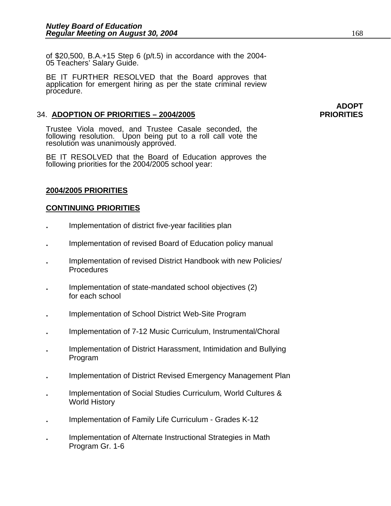of \$20,500, B.A.+15 Step 6 (p/t.5) in accordance with the 2004- 05 Teachers' Salary Guide.

BE IT FURTHER RESOLVED that the Board approves that application for emergent hiring as per the state criminal review procedure.

#### 34. **ADOPTION OF PRIORITIES – 2004/2005 PRIORITIES**

Trustee Viola moved, and Trustee Casale seconded, the following resolution. Upon being put to a roll call vote the resolution was unanimously approved.

BE IT RESOLVED that the Board of Education approves the following priorities for the 2004/2005 school year:

#### **2004/2005 PRIORITIES**

#### **CONTINUING PRIORITIES**

- **.** Implementation of district five-year facilities plan
- **.** Implementation of revised Board of Education policy manual
- **.** Implementation of revised District Handbook with new Policies/ **Procedures**
- **.** Implementation of state-mandated school objectives (2) for each school
- **.** Implementation of School District Web-Site Program
- **.** Implementation of 7-12 Music Curriculum, Instrumental/Choral
- **.** Implementation of District Harassment, Intimidation and Bullying Program
- **.** Implementation of District Revised Emergency Management Plan
- **.** Implementation of Social Studies Curriculum, World Cultures & World History
- **.** Implementation of Family Life Curriculum Grades K-12
- **.** Implementation of Alternate Instructional Strategies in Math Program Gr. 1-6

## **ADOPT**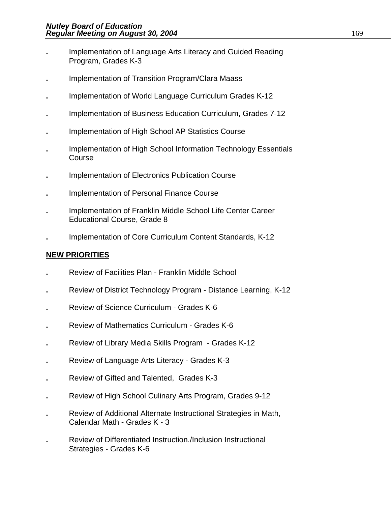- **.** Implementation of Language Arts Literacy and Guided Reading Program, Grades K-3
- **.** Implementation of Transition Program/Clara Maass
- **.** Implementation of World Language Curriculum Grades K-12
- **.** Implementation of Business Education Curriculum, Grades 7-12
- **.** Implementation of High School AP Statistics Course
- **.** Implementation of High School Information Technology Essentials Course
- **.** Implementation of Electronics Publication Course
- **.** Implementation of Personal Finance Course
- **.** Implementation of Franklin Middle School Life Center Career Educational Course, Grade 8
- **.** Implementation of Core Curriculum Content Standards, K-12

### **NEW PRIORITIES**

- **.** Review of Facilities Plan Franklin Middle School
- **.** Review of District Technology Program Distance Learning, K-12
- **.** Review of Science Curriculum Grades K-6
- **.** Review of Mathematics Curriculum Grades K-6
- **.** Review of Library Media Skills Program Grades K-12
- **.** Review of Language Arts Literacy Grades K-3
- **.** Review of Gifted and Talented, Grades K-3
- **.** Review of High School Culinary Arts Program, Grades 9-12
- **.** Review of Additional Alternate Instructional Strategies in Math, Calendar Math - Grades K - 3
- **.** Review of Differentiated Instruction./Inclusion Instructional Strategies - Grades K-6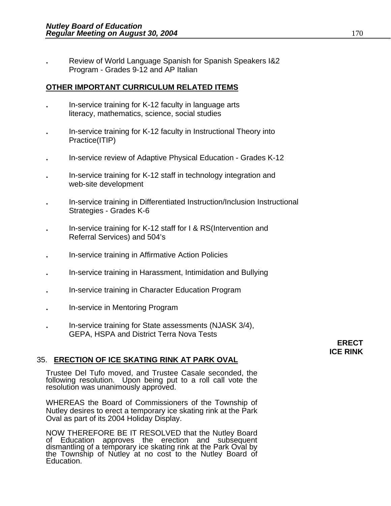**.** Review of World Language Spanish for Spanish Speakers I&2 Program - Grades 9-12 and AP Italian

#### **OTHER IMPORTANT CURRICULUM RELATED ITEMS**

- **.** In-service training for K-12 faculty in language arts literacy, mathematics, science, social studies
- **.** In-service training for K-12 faculty in Instructional Theory into Practice(ITIP)
- **.** In-service review of Adaptive Physical Education Grades K-12
- **.** In-service training for K-12 staff in technology integration and web-site development
- **.** In-service training in Differentiated Instruction/Inclusion Instructional Strategies - Grades K-6
- **.** In-service training for K-12 staff for I & RS(Intervention and Referral Services) and 504's
- **.** In-service training in Affirmative Action Policies
- **.** In-service training in Harassment, Intimidation and Bullying
- **.** In-service training in Character Education Program
- **.** In-service in Mentoring Program
- **.** In-service training for State assessments (NJASK 3/4), GEPA, HSPA and District Terra Nova Tests

### **ERECT ICE RINK**

### 35. **ERECTION OF ICE SKATING RINK AT PARK OVAL**

Trustee Del Tufo moved, and Trustee Casale seconded, the following resolution. Upon being put to a roll call vote the resolution was unanimously approved.

WHEREAS the Board of Commissioners of the Township of Nutley desires to erect a temporary ice skating rink at the Park Oval as part of its 2004 Holiday Display.

NOW THEREFORE BE IT RESOLVED that the Nutley Board<br>of Education approves the erection and subsequent dismantling of a temporary ice skating rink at the Park Oval by the Township of Nutley at no cost to the Nutley Board of Education.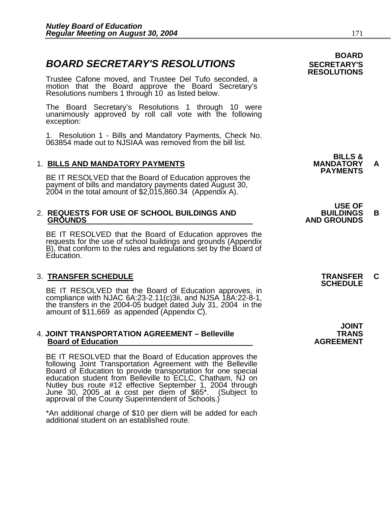#### **BOARD BOARD SECRETARY'S RESOLUTIONS** SECRETARY'S

Trustee Cafone moved, and Trustee Del Tufo seconded, a motion that the Board approve the Board Secretary's Resolutions numbers 1 through 10 as listed below.

The Board Secretary's Resolutions 1 through 10 were unanimously approved by roll call vote with the following exception:

1. Resolution 1 - Bills and Mandatory Payments, Check No. 063854 made out to NJSIAA was removed from the bill list.

1. BILLS AND MANDATORY PAYMENTS<br>BE IT RESOLVED that the Board of Education approves the **PAYMENTS** payment of bills and mandatory payments dated August 30, 2004 in the total amount of \$2,015,860.34 (Appendix A).

### **USE OF**  2. **REQUESTS FOR USE OF SCHOOL BUILDINGS AND BUILDINGS B**

BE IT RESOLVED that the Board of Education approves the requests for the use of school buildings and grounds (Appendix B), that conform to the rules and regulations set by the Board of Education.

3. **TRANSFER SCHEDULE**<br>**BE IT RESOLVED that the Board of Education approves, in SCHEDULE SCHEDULE** compliance with NJAC 6A:23-2.11(c)3ii, and NJSA 18A:22-8-1, the transfers in the 2004-05 budget dated July 31, 2004 in the amount of \$11,669 as appended (Appendix C).

#### 4. **JOINT TRANSPORTATION AGREEMENT – Belleville TRANS Board of Education Agreement Agreement Control AGREEMENT**

BE IT RESOLVED that the Board of Education approves the following Joint Transportation Agreement with the Belleville Board of Education to provide transportation for one special education student from Belleville to ECLC, Chatham, NJ on June 30, 2005 at a cost per diem of \$65<sup>\*</sup>. (Subject to approval of the County Superintendent of Schools.)

\*An additional charge of \$10 per diem will be added for each additional student on an established route.

**BILLS &** 

**RESOLUTIONS** 

# **GROUNDS AND GROUNDS**

**JOINT**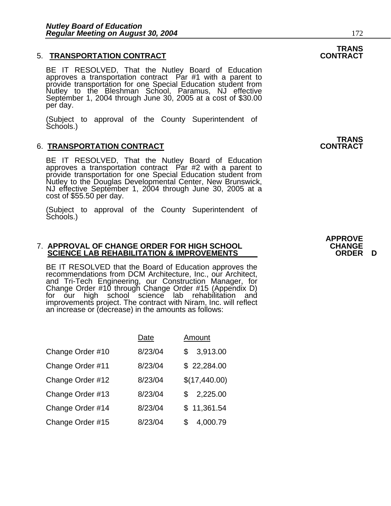#### 5. **TRANSPORTATION CONTRACT CONTRACT**

BE IT RESOLVED, That the Nutley Board of Education approves a transportation contract Par #1 with a parent to provide transportation for one Special Education student from<br>Nutley to the Bleshman School, Paramus, NJ effective Nutley to the Bleshman School, Paramus, NJ effective September 1, 2004 through June 30, 2005 at a cost of \$30.00 per day.

(Subject to approval of the County Superintendent of Schools.)

#### 6. **TRANSPORTATION CONTRACT CONTRACT**

BE IT RESOLVED, That the Nutley Board of Education approves a transportation contract Par #2 with a parent to provide transportation for one Special Education student from Nutley to the Douglas Developmental Center, New Brunswick, NJ effective September 1, 2004 through June 30, 2005 at a cost of \$55.50 per day.

(Subject to approval of the County Superintendent of Schools.)

#### 7. **APPROVAL OF CHANGE ORDER FOR HIGH SCHOOL CHANGE SCIENCE LAB REHABILITATION & IMPROVEMENTS**

BE IT RESOLVED that the Board of Education approves the recommendations from DCM Architecture, Inc., our Architect, and Tri-Tech Engineering, our Construction Manager, for Change Order #10 through Change Order #15 (Appendix D) for our high school science lab rehabilitation and improvements project. The contract with Niram, Inc. will reflect an increase or (decrease) in the amounts as follows:

|                  | Date    | Amount          |
|------------------|---------|-----------------|
| Change Order #10 | 8/23/04 | 3,913.00<br>\$  |
| Change Order #11 | 8/23/04 | \$22,284.00     |
| Change Order #12 | 8/23/04 | \$(17,440.00)   |
| Change Order #13 | 8/23/04 | 2,225.00<br>\$. |
| Change Order #14 | 8/23/04 | \$11,361.54     |
| Change Order #15 | 8/23/04 | 4,000.79        |

**TRANS<br>CONTRACT** 

## **TRANS**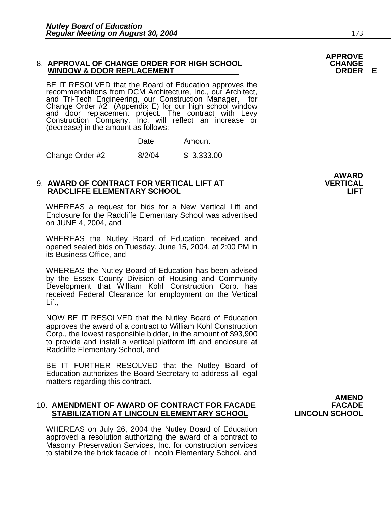#### 8. **APPROVAL OF CHANGE ORDER FOR HIGH SCHOOL CHANGE WINDOW & DOOR REPLACEMENT ORDER E**

BE IT RESOLVED that the Board of Education approves the recommendations from DCM Architecture, Inc., our Architect, and Tri-Tech Engineering, our Construction Manager, for<br>Change Order #2 (Appendix E) for our high school window<br>and door replacement project. The contract with Levy and door replacement project. The contract with Levy Construction Company, Inc. will reflect an increase or (decrease) in the amount as follows:

|                 | Date   | Amount     |
|-----------------|--------|------------|
| Change Order #2 | 8/2/04 | \$3,333.00 |

#### 9. **AWARD OF CONTRACT FOR VERTICAL LIFT AT VERTICAL RADCLIFFE ELEMENTARY SCHOOL LIFT**

WHEREAS a request for bids for a New Vertical Lift and Enclosure for the Radcliffe Elementary School was advertised on JUNE 4, 2004, and

WHEREAS the Nutley Board of Education received and opened sealed bids on Tuesday, June 15, 2004, at 2:00 PM in its Business Office, and

WHEREAS the Nutley Board of Education has been advised by the Essex County Division of Housing and Community Development that William Kohl Construction Corp. has received Federal Clearance for employment on the Vertical Lift,

NOW BE IT RESOLVED that the Nutley Board of Education approves the award of a contract to William Kohl Construction Corp., the lowest responsible bidder, in the amount of \$93,900 to provide and install a vertical platform lift and enclosure at Radcliffe Elementary School, and

BE IT FURTHER RESOLVED that the Nutley Board of Education authorizes the Board Secretary to address all legal matters regarding this contract.

#### 10. **AMENDMENT OF AWARD OF CONTRACT FOR FACADE FACADE STABILIZATION AT LINCOLN ELEMENTARY SCHOOL**

WHEREAS on July 26, 2004 the Nutley Board of Education approved a resolution authorizing the award of a contract to Masonry Preservation Services, Inc. for construction services to stabilize the brick facade of Lincoln Elementary School, and

**AMEND** 

**AWARD**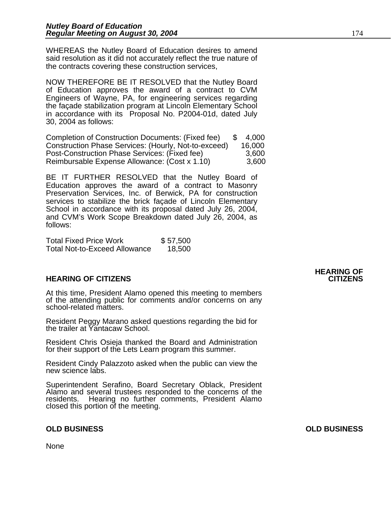WHEREAS the Nutley Board of Education desires to amend said resolution as it did not accurately reflect the true nature of the contracts covering these construction services,

NOW THEREFORE BE IT RESOLVED that the Nutley Board of Education approves the award of a contract to CVM Engineers of Wayne, PA, for engineering services regarding the façade stabilization program at Lincoln Elementary School in accordance with its Proposal No. P2004-01d, dated July 30, 2004 as follows:

Completion of Construction Documents: (Fixed fee) \$ 4,000 Construction Phase Services: (Hourly, Not-to-exceed) 16,000 Post-Construction Phase Services: (Fixed fee) 3,600 Reimbursable Expense Allowance: (Cost x 1.10) 3,600

BE IT FURTHER RESOLVED that the Nutley Board of Education approves the award of a contract to Masonry Preservation Services, Inc. of Berwick, PA for construction services to stabilize the brick façade of Lincoln Elementary School in accordance with its proposal dated July 26, 2004, and CVM's Work Scope Breakdown dated July 26, 2004, as follows:

| <b>Total Fixed Price Work</b> | \$57,500 |
|-------------------------------|----------|
| Total Not-to-Exceed Allowance | 18,500   |

### **HEARING OF CITIZENS CITIZENS**

At this time, President Alamo opened this meeting to members of the attending public for comments and/or concerns on any school-related matters.

Resident Peggy Marano asked questions regarding the bid for the trailer at Yantacaw School.

Resident Chris Osieja thanked the Board and Administration for their support of the Lets Learn program this summer.

Resident Cindy Palazzoto asked when the public can view the new science labs.

Superintendent Serafino, Board Secretary Oblack, President Alamo and several trustees responded to the concerns of the residents. Hearing no further comments, President Alamo closed this portion of the meeting.

#### **OLD BUSINESS OLD BUSINESS**

None

### **HEARING OF**